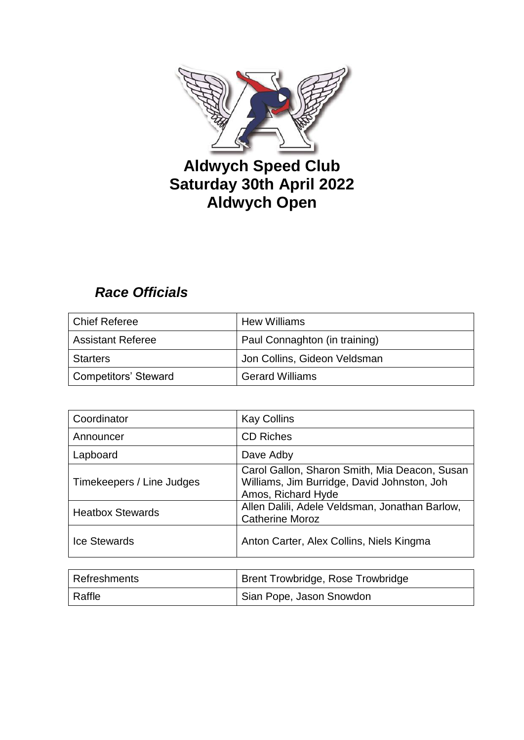

# **Aldwych Speed Club Saturday 30th April 2022 Aldwych Open**

# *Race Officials*

| Chief Referee            | <b>Hew Williams</b>           |
|--------------------------|-------------------------------|
| <b>Assistant Referee</b> | Paul Connaghton (in training) |
| <b>Starters</b>          | Jon Collins, Gideon Veldsman  |
| Competitors' Steward     | <b>Gerard Williams</b>        |

| Coordinator               | <b>Kay Collins</b>                                                                                                 |
|---------------------------|--------------------------------------------------------------------------------------------------------------------|
| Announcer                 | <b>CD Riches</b>                                                                                                   |
| Lapboard                  | Dave Adby                                                                                                          |
| Timekeepers / Line Judges | Carol Gallon, Sharon Smith, Mia Deacon, Susan<br>Williams, Jim Burridge, David Johnston, Joh<br>Amos, Richard Hyde |
| <b>Heatbox Stewards</b>   | Allen Dalili, Adele Veldsman, Jonathan Barlow,<br><b>Catherine Moroz</b>                                           |
| <b>Ice Stewards</b>       | Anton Carter, Alex Collins, Niels Kingma                                                                           |

| Refreshments | Brent Trowbridge, Rose Trowbridge |
|--------------|-----------------------------------|
| Raffle       | Sian Pope, Jason Snowdon          |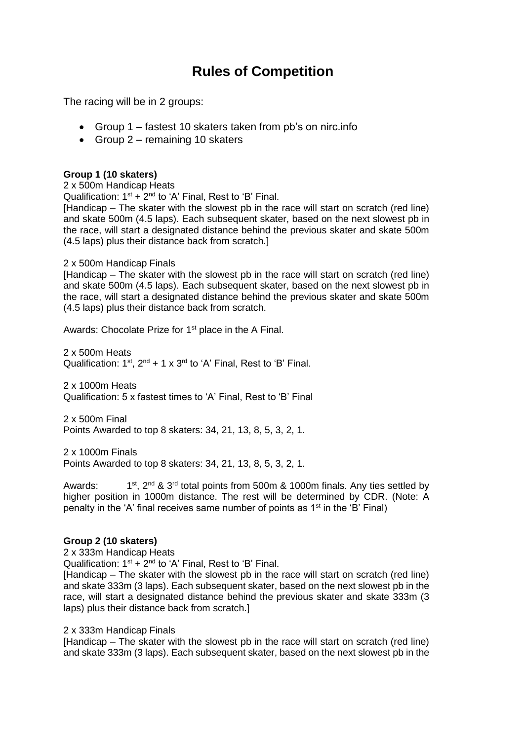## **Rules of Competition**

The racing will be in 2 groups:

- Group 1 fastest 10 skaters taken from pb's on nirc.info
- Group  $2$  remaining 10 skaters

### **Group 1 (10 skaters)**

2 x 500m Handicap Heats Qualification:  $1<sup>st</sup> + 2<sup>nd</sup>$  to 'A' Final, Rest to 'B' Final. [Handicap – The skater with the slowest pb in the race will start on scratch (red line) and skate 500m (4.5 laps). Each subsequent skater, based on the next slowest pb in the race, will start a designated distance behind the previous skater and skate 500m (4.5 laps) plus their distance back from scratch.]

### 2 x 500m Handicap Finals

[Handicap – The skater with the slowest pb in the race will start on scratch (red line) and skate 500m (4.5 laps). Each subsequent skater, based on the next slowest pb in the race, will start a designated distance behind the previous skater and skate 500m (4.5 laps) plus their distance back from scratch.

Awards: Chocolate Prize for 1<sup>st</sup> place in the A Final.

2 x 500m Heats Qualification:  $1^{st}$ ,  $2^{nd}$  + 1 x  $3^{rd}$  to 'A' Final, Rest to 'B' Final.

2 x 1000m Heats Qualification: 5 x fastest times to 'A' Final, Rest to 'B' Final

2 x 500m Final Points Awarded to top 8 skaters: 34, 21, 13, 8, 5, 3, 2, 1.

2 x 1000m Finals Points Awarded to top 8 skaters: 34, 21, 13, 8, 5, 3, 2, 1.

Awards:  $1<sup>st</sup>$ ,  $2<sup>nd</sup>$  &  $3<sup>rd</sup>$  total points from 500m & 1000m finals. Any ties settled by higher position in 1000m distance. The rest will be determined by CDR. (Note: A penalty in the 'A' final receives same number of points as  $1<sup>st</sup>$  in the 'B' Final)

### **Group 2 (10 skaters)**

2 x 333m Handicap Heats

Qualification:  $1<sup>st</sup> + 2<sup>nd</sup>$  to 'A' Final, Rest to 'B' Final.

[Handicap – The skater with the slowest pb in the race will start on scratch (red line) and skate 333m (3 laps). Each subsequent skater, based on the next slowest pb in the race, will start a designated distance behind the previous skater and skate 333m (3 laps) plus their distance back from scratch.]

2 x 333m Handicap Finals

[Handicap – The skater with the slowest pb in the race will start on scratch (red line) and skate 333m (3 laps). Each subsequent skater, based on the next slowest pb in the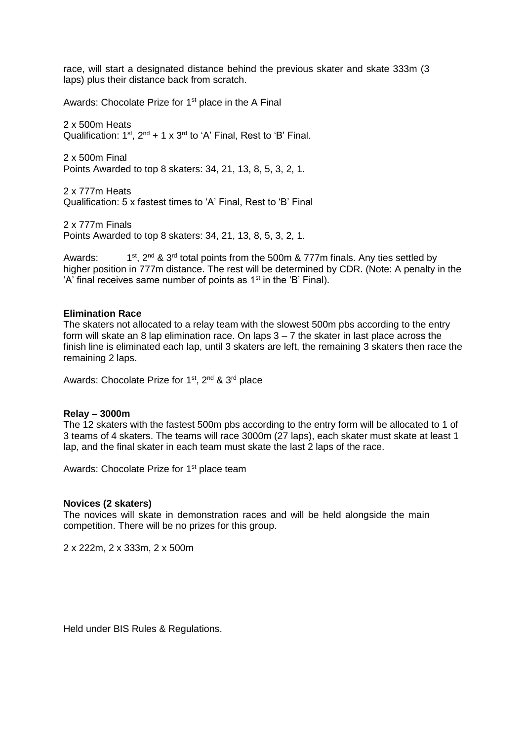race, will start a designated distance behind the previous skater and skate 333m (3 laps) plus their distance back from scratch.

Awards: Chocolate Prize for 1<sup>st</sup> place in the A Final

2 x 500m Heats Qualification:  $1^{st}$ ,  $2^{nd}$  + 1 x  $3^{rd}$  to 'A' Final, Rest to 'B' Final.

2 x 500m Final Points Awarded to top 8 skaters: 34, 21, 13, 8, 5, 3, 2, 1.

2 x 777m Heats Qualification: 5 x fastest times to 'A' Final, Rest to 'B' Final

2 x 777m Finals Points Awarded to top 8 skaters: 34, 21, 13, 8, 5, 3, 2, 1.

Awards: 1st, 2<sup>nd</sup> & 3<sup>rd</sup> total points from the 500m & 777m finals. Any ties settled by higher position in 777m distance. The rest will be determined by CDR. (Note: A penalty in the 'A' final receives same number of points as 1<sup>st</sup> in the 'B' Final).

#### **Elimination Race**

The skaters not allocated to a relay team with the slowest 500m pbs according to the entry form will skate an 8 lap elimination race. On laps 3 – 7 the skater in last place across the finish line is eliminated each lap, until 3 skaters are left, the remaining 3 skaters then race the remaining 2 laps.

Awards: Chocolate Prize for 1<sup>st</sup>, 2<sup>nd</sup> & 3<sup>rd</sup> place

#### **Relay – 3000m**

The 12 skaters with the fastest 500m pbs according to the entry form will be allocated to 1 of 3 teams of 4 skaters. The teams will race 3000m (27 laps), each skater must skate at least 1 lap, and the final skater in each team must skate the last 2 laps of the race.

Awards: Chocolate Prize for 1<sup>st</sup> place team

#### **Novices (2 skaters)**

The novices will skate in demonstration races and will be held alongside the main competition. There will be no prizes for this group.

2 x 222m, 2 x 333m, 2 x 500m

Held under BIS Rules & Regulations.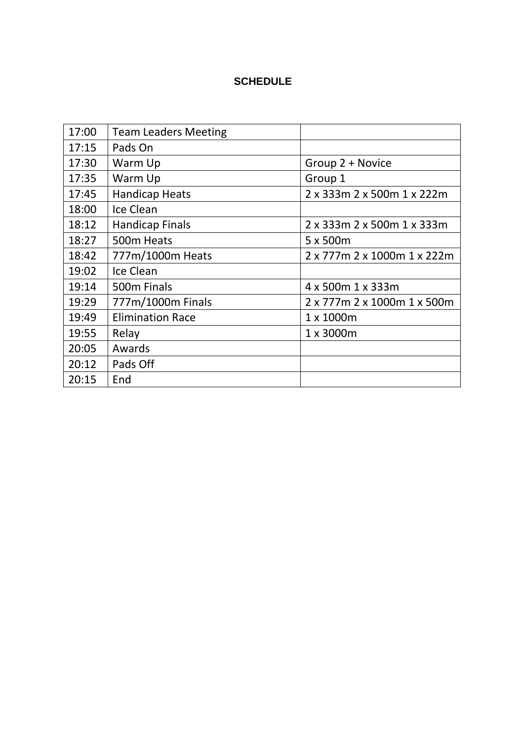## **SCHEDULE**

| 17:00 | <b>Team Leaders Meeting</b> |                             |
|-------|-----------------------------|-----------------------------|
| 17:15 | Pads On                     |                             |
| 17:30 | Warm Up                     | Group 2 + Novice            |
| 17:35 | Warm Up                     | Group 1                     |
| 17:45 | <b>Handicap Heats</b>       | 2 x 333m 2 x 500m 1 x 222m  |
| 18:00 | Ice Clean                   |                             |
| 18:12 | Handicap Finals             | 2 x 333m 2 x 500m 1 x 333m  |
| 18:27 | 500m Heats                  | 5 x 500m                    |
| 18:42 | 777m/1000m Heats            | 2 x 777m 2 x 1000m 1 x 222m |
| 19:02 | Ice Clean                   |                             |
| 19:14 | 500m Finals                 | 4 x 500m 1 x 333m           |
| 19:29 | 777m/1000m Finals           | 2 x 777m 2 x 1000m 1 x 500m |
| 19:49 | <b>Elimination Race</b>     | 1 x 1000m                   |
| 19:55 | Relay                       | 1 x 3000m                   |
| 20:05 | Awards                      |                             |
| 20:12 | Pads Off                    |                             |
| 20:15 | End                         |                             |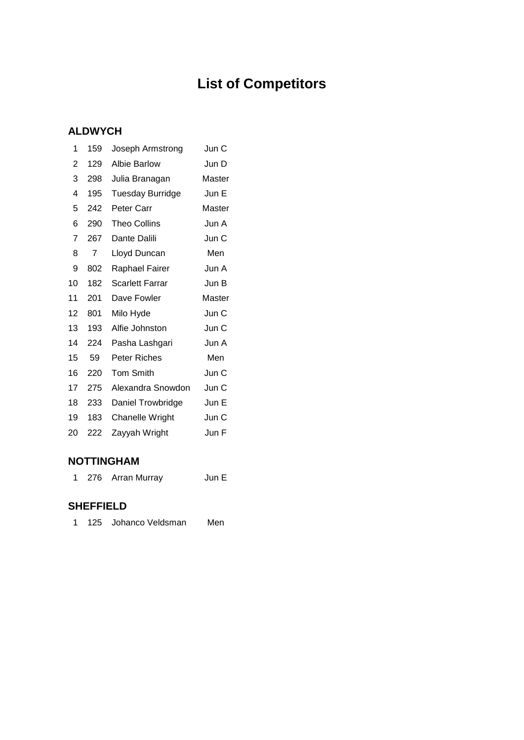# **List of Competitors**

## **ALDWYCH**

| 1  | 159 | Joseph Armstrong        | Jun C  |
|----|-----|-------------------------|--------|
| 2  | 129 | Albie Barlow            | Jun D  |
| 3  | 298 | Julia Branagan          | Master |
| 4  | 195 | <b>Tuesday Burridge</b> | Jun E  |
| 5  | 242 | Peter Carr              | Master |
| 6  | 290 | <b>Theo Collins</b>     | Jun A  |
| 7  | 267 | Dante Dalili            | Jun C  |
| 8  | 7   | Lloyd Duncan            | Men    |
| 9  | 802 | Raphael Fairer          | Jun A  |
| 10 | 182 | Scarlett Farrar         | Jun B  |
| 11 | 201 | Dave Fowler             | Master |
| 12 | 801 | Milo Hyde               | Jun C  |
| 13 | 193 | Alfie Johnston          | Jun C  |
| 14 | 224 | Pasha Lashgari          | Jun A  |
| 15 | 59  | Peter Riches            | Men    |
| 16 | 220 | <b>Tom Smith</b>        | Jun C  |
| 17 | 275 | Alexandra Snowdon       | Jun C  |
| 18 | 233 | Daniel Trowbridge       | Jun E  |
| 19 | 183 | <b>Chanelle Wright</b>  | Jun C  |
| 20 | 222 | Zayyah Wright           | Jun F  |
|    |     |                         |        |

### **NOTTINGHAM**

1 276 Arran Murray Jun E

## **SHEFFIELD**

| 125 Johanco Veldsman | Men |
|----------------------|-----|
|                      |     |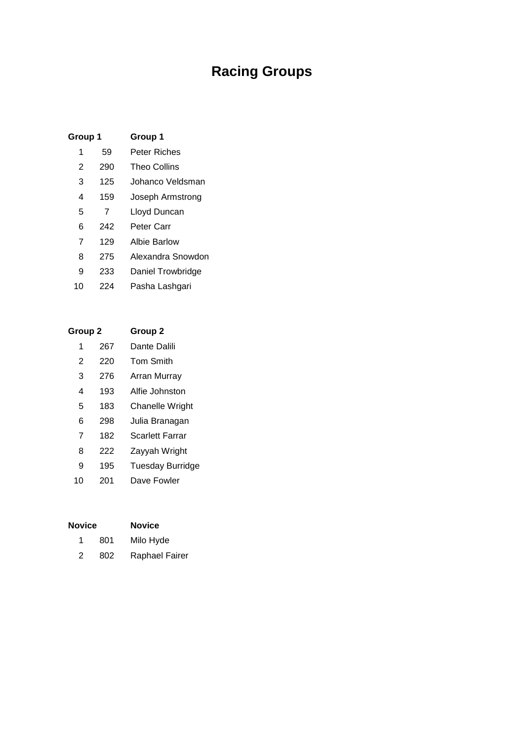# **Racing Groups**

| Group 1 |     | Group 1             |
|---------|-----|---------------------|
| 1       | 59  | Peter Riches        |
| 2       | 290 | <b>Theo Collins</b> |
| 3       | 125 | Johanco Veldsman    |
| 4       | 159 | Joseph Armstrong    |
| 5       | 7   | Lloyd Duncan        |
| 6       | 242 | Peter Carr          |
| 7       | 129 | Albie Barlow        |
| 8       | 275 | Alexandra Snowdon   |
| 9       | 233 | Daniel Trowbridge   |
| 10      | 224 | Pasha Lashgari      |
|         |     |                     |

| Group 2 |     | Group <sub>2</sub>     |
|---------|-----|------------------------|
| 1       | 267 | Dante Dalili           |
| 2       | 220 | <b>Tom Smith</b>       |
| 3       | 276 | Arran Murray           |
| 4       | 193 | Alfie Johnston         |
| 5       | 183 | <b>Chanelle Wright</b> |
| 6       | 298 | Julia Branagan         |
| 7       | 182 | <b>Scarlett Farrar</b> |
| 8       | 222 | Zayyah Wright          |
| 9       | 195 | Tuesday Burridge       |
| 10      | 201 | Dave Fowler            |
|         |     |                        |

| <b>Novice</b> |     | <b>Novice</b>  |
|---------------|-----|----------------|
|               | 801 | Milo Hyde      |
| 2             | 802 | Raphael Fairer |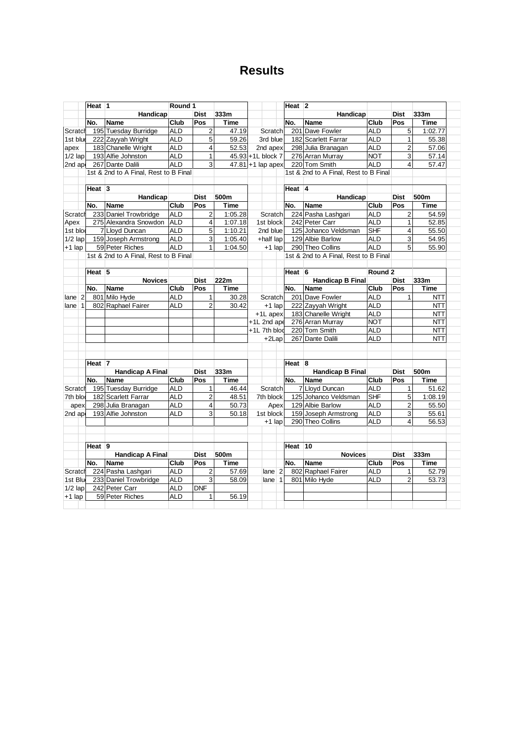## **Results**

|                      | Heat 1            |                                       | Round 1    |                         |         |                      | Heat $ 2 $ |                                       |                    |                         |             |
|----------------------|-------------------|---------------------------------------|------------|-------------------------|---------|----------------------|------------|---------------------------------------|--------------------|-------------------------|-------------|
|                      |                   | Handicap                              |            | <b>Dist</b>             | 333m    |                      |            | Handicap                              |                    | <b>Dist</b>             | 333m        |
|                      | No.               | <b>Name</b>                           | Club       | Pos                     | Time    |                      | No.        | Name                                  | Club               | Pos                     | <b>Time</b> |
| Scratch              |                   | 195 Tuesday Burridge                  | <b>ALD</b> | $\overline{c}$          | 47.19   | Scratch              |            | 201 Dave Fowler                       | <b>ALD</b>         | 5                       | 1:02.77     |
| 1st blue             |                   | 222 Zayyah Wright                     | <b>ALD</b> | 5                       | 59.26   | 3rd blue             |            | 182 Scarlett Farrar                   | <b>ALD</b>         | $\mathbf{1}$            | 55.38       |
| apex                 |                   | 183 Chanelle Wright                   | <b>ALD</b> | $\overline{4}$          | 52.53   | 2nd apex             |            | 298 Julia Branagan                    | <b>ALD</b>         | $\overline{2}$          | 57.06       |
| $1/2$ lap            |                   | 193 Alfie Johnston                    | <b>ALD</b> | $\mathbf{1}$            |         | 45.93 +1L block 7    |            | 276 Arran Murray                      | <b>NOT</b>         | 3                       | 57.14       |
| 2nd ap               |                   | 267 Dante Dalili                      | <b>ALD</b> | 3                       |         | $47.81 + 1$ lap apex |            | 220 Tom Smith                         | <b>ALD</b>         | $\overline{\mathbf{4}}$ | 57.47       |
|                      |                   | 1st & 2nd to A Final, Rest to B Final |            |                         |         |                      |            | 1st & 2nd to A Final, Rest to B Final |                    |                         |             |
|                      |                   |                                       |            |                         |         |                      |            |                                       |                    |                         |             |
|                      | Heat 3            |                                       |            |                         |         |                      | Heat $ 4 $ |                                       |                    |                         |             |
|                      |                   | Handicap                              |            | <b>Dist</b>             | 500m    |                      |            | Handicap                              |                    | <b>Dist</b>             | 500m        |
|                      | No.               | <b>Name</b>                           | Club       | Pos                     | Time    |                      | No.        | Name                                  | Club               | Pos                     | <b>Time</b> |
| Scratch              |                   | 233 Daniel Trowbridge                 | <b>ALD</b> | $\overline{2}$          | 1:05.28 | Scratchl             |            | 224 Pasha Lashgari                    | <b>ALD</b>         | $\overline{2}$          | 54.59       |
| Apex                 |                   | 275 Alexandra Snowdon                 | <b>ALD</b> | $\overline{4}$          | 1:07.18 | 1st block            |            | 242 Peter Carr                        | <b>ALD</b>         | $\mathbf{1}$            | 52.85       |
| 1st blod             |                   | 7 Lloyd Duncan                        | <b>ALD</b> | 5                       | 1:10.21 | 2nd blue             |            | 125 Johanco Veldsman                  | <b>SHF</b>         | $\overline{4}$          | 55.50       |
| $1/2$ lap            |                   | 159 Joseph Armstrong                  | <b>ALD</b> | 3                       | 1:05.40 | +half lap            |            | 129 Albie Barlow                      | <b>ALD</b>         | 3                       | 54.95       |
| +1 lap               |                   | 59 Peter Riches                       | <b>ALD</b> | $\mathbf{1}$            | 1:04.50 | $+1$ lap             |            | 290 Theo Collins                      | <b>ALD</b>         | 5                       | 55.90       |
|                      |                   | 1st & 2nd to A Final, Rest to B Final |            |                         |         |                      |            | 1st & 2nd to A Final, Rest to B Final |                    |                         |             |
|                      | Heat <sub>5</sub> |                                       |            |                         |         |                      | Heat $6$   |                                       | Round <sub>2</sub> |                         |             |
|                      |                   | <b>Novices</b>                        |            | <b>Dist</b>             | 222m    |                      |            | <b>Handicap B Final</b>               |                    | <b>Dist</b>             | 333m        |
|                      | No.               | Name                                  | Club       | Pos                     | Time    |                      | No.        | Name                                  | Club               | Pos                     | <b>Time</b> |
| $lane$ 2             |                   | 801 Milo Hyde                         | <b>ALD</b> | $\mathbf{1}$            | 30.28   | Scratch              |            | 201 Dave Fowler                       | <b>ALD</b>         | 1                       | <b>NTT</b>  |
| $\mathbf{1}$<br>lane |                   | 802 Raphael Fairer                    | <b>ALD</b> | $\overline{2}$          | 30.42   | $+1$ lap             |            | 222 Zayyah Wright                     | <b>ALD</b>         |                         | <b>NTT</b>  |
|                      |                   |                                       |            |                         |         | +1L apex             |            | 183 Chanelle Wright                   | <b>ALD</b>         |                         | <b>NTT</b>  |
|                      |                   |                                       |            |                         |         | +1L 2nd ape          |            | 276 Arran Murray                      | <b>NOT</b>         |                         | <b>NTT</b>  |
|                      |                   |                                       |            |                         |         | +1L 7th blod         |            | 220 Tom Smith                         | <b>ALD</b>         |                         | <b>NTT</b>  |
|                      |                   |                                       |            |                         |         | +2Lap                |            | 267 Dante Dalili                      | <b>ALD</b>         |                         | <b>NTT</b>  |
|                      |                   |                                       |            |                         |         |                      |            |                                       |                    |                         |             |
|                      |                   |                                       |            |                         |         |                      |            |                                       |                    |                         |             |
|                      | Heat <sub>7</sub> |                                       |            |                         |         |                      | Heat $8$   |                                       |                    |                         |             |
|                      |                   | <b>Handicap A Final</b>               |            | <b>Dist</b>             | 333m    |                      |            | <b>Handicap B Final</b>               |                    | <b>Dist</b>             | 500m        |
|                      | No.               | <b>Name</b>                           | Club       | Pos                     | Time    |                      | No.        | Name                                  | Club               | Pos                     | <b>Time</b> |
| Scratch              |                   | 195 Tuesday Burridge                  | <b>ALD</b> | 1                       | 46.44   | Scratch              |            | 7 Lloyd Duncan                        | <b>ALD</b>         | 1                       | 51.62       |
| 7th blod             |                   | 182 Scarlett Farrar                   | <b>ALD</b> | $\overline{\mathbf{c}}$ | 48.51   | 7th block            |            | 125 Johanco Veldsman                  | <b>SHF</b>         | 5                       | 1:08.19     |
| apex                 |                   | 298 Julia Branagan                    | <b>ALD</b> | 4                       | 50.73   | Apex                 |            | 129 Albie Barlow                      | <b>ALD</b>         | $\overline{2}$          | 55.50       |
| 2nd ap               |                   | 193 Alfie Johnston                    | <b>ALD</b> | 3                       | 50.18   | 1st block            |            | 159 Joseph Armstrong                  | <b>ALD</b>         | 3                       | 55.61       |
|                      |                   |                                       |            |                         |         | $+1$ lap             |            | 290 Theo Collins                      | <b>ALD</b>         | $\overline{4}$          | 56.53       |
|                      |                   |                                       |            |                         |         |                      |            |                                       |                    |                         |             |
|                      | Heat 9            |                                       |            |                         |         |                      | Heat       | 10                                    |                    |                         |             |
|                      |                   | <b>Handicap A Final</b>               |            | <b>Dist</b>             | 500m    |                      |            | <b>Novices</b>                        |                    | <b>Dist</b>             | 333m        |
|                      | No.               | Name                                  | Club       | Pos                     | Time    |                      | No.        | Name                                  | Club               | Pos                     | Time        |
| Scratch              |                   | 224 Pasha Lashgari                    | <b>ALD</b> | $\overline{2}$          | 57.69   | $lane$ 2             |            | 802 Raphael Fairer                    | <b>ALD</b>         | $\mathbf{1}$            | 52.79       |
| 1st Blu              |                   | 233 Daniel Trowbridge                 | <b>ALD</b> | 3                       | 58.09   | $\mathbf{1}$<br>lane |            | 801 Milo Hyde                         | <b>ALD</b>         | $\overline{2}$          | 53.73       |
| $1/2$ lap            |                   | 242 Peter Carr                        | <b>ALD</b> | DNF                     |         |                      |            |                                       |                    |                         |             |
| +1 lap               |                   | 59 Peter Riches                       | <b>ALD</b> | $\mathbf{1}$            | 56.19   |                      |            |                                       |                    |                         |             |
|                      |                   |                                       |            |                         |         |                      |            |                                       |                    |                         |             |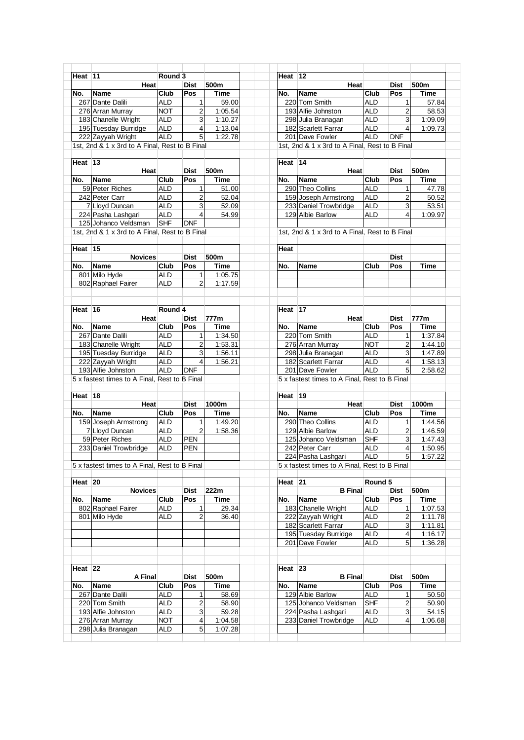|                                 | Heat 11                                        | Round 3     |                |             | Heat 12              |                                                |             |                         |                                                     |
|---------------------------------|------------------------------------------------|-------------|----------------|-------------|----------------------|------------------------------------------------|-------------|-------------------------|-----------------------------------------------------|
|                                 | Heat                                           |             | <b>Dist</b>    | 500m        |                      | <b>Heat</b>                                    |             | Dist                    | 500m                                                |
| No.                             | Name                                           | <b>Club</b> | Pos            | Time        | No.                  | <b>Name</b>                                    | Club        | Pos                     | Time                                                |
|                                 | 267 Dante Dalili                               | <b>ALD</b>  | 1              | 59.00       |                      | 220 Tom Smith                                  | <b>ALD</b>  |                         | 57.84<br>1                                          |
|                                 |                                                | <b>NOT</b>  | $\overline{2}$ | 1:05.54     |                      | 193 Alfie Johnston                             | <b>ALD</b>  |                         | 58.53                                               |
|                                 | 276 Arran Murray                               |             |                |             |                      |                                                |             |                         | $\overline{\mathbf{c}}$                             |
|                                 | 183 Chanelle Wright                            | <b>ALD</b>  | 3              | 1:10.27     |                      | 298 Julia Branagan                             | <b>ALD</b>  |                         | 3<br>1:09.09                                        |
|                                 | 195 Tuesday Burridge                           | <b>ALD</b>  | 4              | 1:13.04     |                      | 182 Scarlett Farrar                            | <b>ALD</b>  |                         | $\overline{4}$<br>1:09.73                           |
|                                 | 222 Zayyah Wright                              | <b>ALD</b>  | $\overline{5}$ | 1:22.78     |                      | 201 Dave Fowler                                | <b>ALD</b>  | <b>DNF</b>              |                                                     |
|                                 | 1st, 2nd & 1 x 3rd to A Final, Rest to B Final |             |                |             |                      | 1st, 2nd & 1 x 3rd to A Final, Rest to B Final |             |                         |                                                     |
|                                 |                                                |             |                |             |                      |                                                |             |                         |                                                     |
| Heat $13$                       |                                                |             |                |             | Heat 14              |                                                |             |                         |                                                     |
|                                 |                                                |             |                |             |                      |                                                |             |                         |                                                     |
|                                 | Heat                                           |             | <b>Dist</b>    | 500m        |                      | Heat                                           |             | <b>Dist</b>             | 500m                                                |
| No.                             | <b>Name</b>                                    | Club        | Pos            | <b>Time</b> | No.                  | <b>Name</b>                                    | <b>Club</b> | Pos                     | Time                                                |
|                                 | 59 Peter Riches                                | <b>ALD</b>  | 1              | 51.00       |                      | 290 Theo Collins                               | <b>ALD</b>  |                         | 47.78<br>11                                         |
|                                 | 242 Peter Carr                                 | <b>ALD</b>  | $\overline{2}$ | 52.04       |                      | 159 Joseph Armstrong                           | <b>ALD</b>  |                         | $\overline{a}$<br>50.52                             |
|                                 | 7 Lloyd Duncan                                 | <b>ALD</b>  | 3              | 52.09       |                      | 233 Daniel Trowbridge                          | <b>ALD</b>  |                         | 53.51<br>3                                          |
|                                 | 224 Pasha Lashgari                             | <b>ALD</b>  | $\overline{4}$ | 54.99       |                      | 129 Albie Barlow                               | <b>ALD</b>  |                         | $\overline{4}$<br>1:09.97                           |
|                                 |                                                |             |                |             |                      |                                                |             |                         |                                                     |
|                                 | 125 Johanco Veldsman                           | <b>SHF</b>  | <b>DNF</b>     |             |                      |                                                |             |                         |                                                     |
|                                 | 1st, 2nd & 1 x 3rd to A Final, Rest to B Final |             |                |             |                      | 1st, 2nd & 1 x 3rd to A Final, Rest to B Final |             |                         |                                                     |
|                                 |                                                |             |                |             |                      |                                                |             |                         |                                                     |
| Heat $15$                       |                                                |             |                |             | Heat                 |                                                |             |                         |                                                     |
|                                 | <b>Novices</b>                                 |             | <b>Dist</b>    | 500m        |                      |                                                |             | <b>Dist</b>             |                                                     |
| No.                             | Name                                           | <b>Club</b> | Pos            | <b>Time</b> | No.                  | <b>Name</b>                                    | Club        | Pos                     | Time                                                |
|                                 | 801 Milo Hyde                                  | <b>ALD</b>  | $\mathbf{1}$   | 1:05.75     |                      |                                                |             |                         |                                                     |
|                                 |                                                |             |                |             |                      |                                                |             |                         |                                                     |
|                                 | 802 Raphael Fairer                             | <b>ALD</b>  | $\overline{2}$ | 1:17.59     |                      |                                                |             |                         |                                                     |
|                                 |                                                |             |                |             |                      |                                                |             |                         |                                                     |
|                                 |                                                |             |                |             |                      |                                                |             |                         |                                                     |
| Heat 16                         |                                                | Round 4     |                |             | Heat $\overline{17}$ |                                                |             |                         |                                                     |
|                                 | Heat                                           |             | <b>Dist</b>    | 777m        |                      | Heat                                           |             | Dist                    | 777m                                                |
| No.                             | <b>Name</b>                                    | <b>Club</b> | Pos            | Time        | No.                  | <b>Name</b>                                    | Club        | Pos                     | <b>Time</b>                                         |
|                                 |                                                |             |                |             |                      |                                                |             |                         |                                                     |
|                                 | 267 Dante Dalili                               | <b>ALD</b>  | 1              | 1:34.50     |                      | 220 Tom Smith                                  | <b>ALD</b>  |                         | 1:37.84<br>1                                        |
|                                 | 183 Chanelle Wright                            | <b>ALD</b>  | $\overline{2}$ | 1:53.31     |                      | 276 Arran Murray                               | <b>NOT</b>  |                         | 2<br>1:44.10                                        |
|                                 | 195 Tuesday Burridge                           | <b>ALD</b>  | 3              | 1:56.11     |                      | 298 Julia Branagan                             | <b>ALD</b>  |                         | 3<br>1:47.89                                        |
|                                 | 222 Zayyah Wright                              | <b>ALD</b>  | $\overline{4}$ | 1:56.21     |                      | 182 Scarlett Farrar                            | <b>ALD</b>  | $\overline{\mathbf{4}}$ | 1:58.13                                             |
|                                 |                                                |             |                |             |                      |                                                |             |                         | 5<br>2:58.62                                        |
|                                 |                                                |             |                |             |                      |                                                |             |                         |                                                     |
|                                 | 193 Alfie Johnston                             | <b>ALD</b>  | <b>DNF</b>     |             |                      | 201 Dave Fowler                                | <b>ALD</b>  |                         |                                                     |
|                                 | 5 x fastest times to A Final, Rest to B Final  |             |                |             |                      | 5 x fastest times to A Final, Rest to B Final  |             |                         |                                                     |
|                                 |                                                |             |                |             |                      |                                                |             |                         |                                                     |
|                                 |                                                |             |                |             | Heat $ 19 $          |                                                |             |                         |                                                     |
|                                 | Heat                                           |             | <b>Dist</b>    | 1000m       |                      | Heat                                           |             | <b>Dist</b>             | 1000m                                               |
| No.                             | <b>Name</b>                                    | <b>Club</b> | <b>Pos</b>     | <b>Time</b> | No.                  | <b>Name</b>                                    | Club        | Pos                     | <b>Time</b>                                         |
|                                 |                                                |             |                |             |                      |                                                |             |                         |                                                     |
|                                 | 159 Joseph Armstrong                           | <b>ALD</b>  | 1              | 1:49.20     |                      | 290 Theo Collins                               | <b>ALD</b>  | $\mathbf{1}$            |                                                     |
|                                 | 7 Lloyd Duncan                                 | <b>ALD</b>  | $\sqrt{2}$     | 1:58.36     |                      | 129 Albie Barlow                               | <b>ALD</b>  | $\mathbf 2$             |                                                     |
|                                 | 59 Peter Riches                                | <b>ALD</b>  | <b>PEN</b>     |             |                      | 125 Johanco Veldsman                           | SHF         | 3                       |                                                     |
|                                 | 233 Daniel Trowbridge                          | <b>ALD</b>  | <b>PEN</b>     |             |                      | 242 Peter Carr                                 | <b>ALD</b>  |                         | $\overline{4}$                                      |
|                                 |                                                |             |                |             |                      | 224 Pasha Lashgari                             | $ALD$ 5     |                         |                                                     |
|                                 | 5 x fastest times to A Final, Rest to B Final  |             |                |             |                      | 5 x fastest times to A Final, Rest to B Final  |             |                         |                                                     |
|                                 |                                                |             |                |             |                      |                                                |             |                         |                                                     |
|                                 |                                                |             |                |             |                      |                                                | Round 5     |                         |                                                     |
|                                 |                                                |             |                |             | Heat 21              |                                                |             |                         | 1:44.56<br>1:46.59<br>1:47.43<br>1:50.95<br>1:57.22 |
|                                 | <b>Novices</b>                                 |             | <b>Dist</b>    | 222m        |                      | <b>B</b> Final                                 |             | Dist                    | 500m                                                |
|                                 | Name                                           | <b>Club</b> | Pos            | Time        | No.                  | Name                                           | Club        | Pos                     | <b>Time</b>                                         |
|                                 | 802 Raphael Fairer                             | <b>ALD</b>  | 1              | 29.34       |                      | 183 Chanelle Wright                            | <b>ALD</b>  |                         | $\mathbf{1}$                                        |
|                                 | 801 Milo Hyde                                  | <b>ALD</b>  | $\overline{2}$ | 36.40       |                      | 222 Zayyah Wright                              | <b>ALD</b>  |                         | $\overline{2}$                                      |
|                                 |                                                |             |                |             |                      | 182 Scarlett Farrar                            | <b>ALD</b>  |                         | 3                                                   |
| Heat $18$<br>Heat $ 20 $<br>No. |                                                |             |                |             |                      |                                                |             |                         | 1:07.53<br>1:11.78<br>1:11.81                       |
|                                 |                                                |             |                |             |                      | 195 Tuesday Burridge                           | <b>ALD</b>  |                         | $\overline{\mathbf{4}}$<br>1:16.17                  |
|                                 |                                                |             |                |             |                      | 201 Dave Fowler                                | <b>ALD</b>  |                         | 5 <sub>5</sub><br>1:36.28                           |
|                                 |                                                |             |                |             |                      |                                                |             |                         |                                                     |
|                                 |                                                |             |                |             |                      |                                                |             |                         |                                                     |
|                                 |                                                |             |                |             | Heat 23              |                                                |             |                         |                                                     |
|                                 | A Final                                        |             | <b>Dist</b>    | 500m        |                      | <b>B</b> Final                                 |             | Dist                    | 500m                                                |
|                                 |                                                |             |                |             |                      |                                                |             |                         |                                                     |
|                                 | <b>Name</b>                                    | <b>Club</b> | Pos            | Time        | No.                  | <b>Name</b>                                    | Club        | Pos                     | Time                                                |
|                                 | 267 Dante Dalili                               | <b>ALD</b>  | 1              | 58.69       |                      | 129 Albie Barlow                               | <b>ALD</b>  |                         | $\mathbf{1}$                                        |
|                                 | 220 Tom Smith                                  | <b>ALD</b>  | $\overline{2}$ | 58.90       |                      | 125 Johanco Veldsman                           | SHF         |                         | 2                                                   |
|                                 | 193 Alfie Johnston                             | ALD         | 3              | 59.28       |                      | 224 Pasha Lashgari                             | <b>ALD</b>  |                         | 3                                                   |
| Heat $ 22$<br>No.               | 276 Arran Murray                               | <b>NOT</b>  | 4              | 1:04.58     |                      | 233 Daniel Trowbridge                          | ALD         |                         | 50.50<br>50.90<br>54.15<br>4<br>1:06.68             |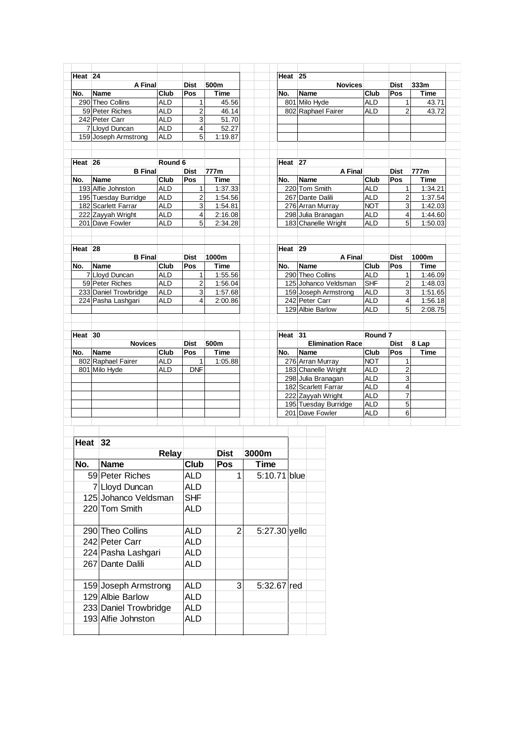| Heat <sub>24</sub> |                       |            |                |         | Heat <sub>25</sub> |                         |                    |                |         |
|--------------------|-----------------------|------------|----------------|---------|--------------------|-------------------------|--------------------|----------------|---------|
|                    | A Final               |            | <b>Dist</b>    | 500m    |                    | <b>Novices</b>          |                    | <b>Dist</b>    | 333m    |
| No.                | <b>Name</b>           | Club       | Pos            | Time    | No.                | Name                    | Club               | Pos            | Time    |
|                    | 290 Theo Collins      | <b>ALD</b> | 1              | 45.56   |                    | 801 Milo Hyde           | <b>ALD</b>         | 1              | 43.71   |
|                    | 59 Peter Riches       | <b>ALD</b> | $\overline{2}$ | 46.14   |                    | 802 Raphael Fairer      | <b>ALD</b>         | $\overline{2}$ | 43.72   |
|                    | 242 Peter Carr        | <b>ALD</b> | 3              | 51.70   |                    |                         |                    |                |         |
|                    | 7 Lloyd Duncan        | <b>ALD</b> | $\overline{4}$ | 52.27   |                    |                         |                    |                |         |
|                    | 159 Joseph Armstrong  | <b>ALD</b> | 5              | 1:19.87 |                    |                         |                    |                |         |
|                    |                       |            |                |         |                    |                         |                    |                |         |
| Heat <sub>26</sub> |                       | Round 6    |                |         | Heat <sub>27</sub> |                         |                    |                |         |
|                    | <b>B</b> Final        |            | <b>Dist</b>    | 777m    |                    | A Final                 |                    | <b>Dist</b>    | 777m    |
| No.                | Name                  | Club       | Pos            | Time    | No.                | Name                    | Club               | Pos            | Time    |
|                    | 193 Alfie Johnston    | <b>ALD</b> | 1              | 1:37.33 |                    | 220 Tom Smith           | <b>ALD</b>         | 1              | 1:34.21 |
|                    | 195 Tuesday Burridge  | <b>ALD</b> | $\overline{2}$ | 1:54.56 |                    | 267 Dante Dalili        | <b>ALD</b>         | $\overline{2}$ | 1:37.54 |
|                    | 182 Scarlett Farrar   | <b>ALD</b> | 3              | 1:54.81 |                    | 276 Arran Murray        | <b>NOT</b>         | 3              | 1:42.03 |
|                    | 222 Zayyah Wright     | <b>ALD</b> | $\overline{4}$ | 2:16.08 |                    | 298 Julia Branagan      | <b>ALD</b>         | 4              | 1:44.60 |
|                    | 201 Dave Fowler       | <b>ALD</b> | 5              | 2:34.28 |                    | 183 Chanelle Wright     | <b>ALD</b>         | 5              | 1:50.03 |
|                    |                       |            |                |         |                    |                         |                    |                |         |
| Heat <sub>28</sub> |                       |            |                |         | Heat <sub>29</sub> |                         |                    |                |         |
|                    | <b>B</b> Final        |            | <b>Dist</b>    | 1000m   |                    | A Final                 |                    | <b>Dist</b>    | 1000m   |
| No.                | Name                  | Club       | Pos            | Time    | No.                | Name                    | Club               | Pos            | Time    |
|                    | 7 Lloyd Duncan        | <b>ALD</b> | 1              | 1:55.56 |                    | 290 Theo Collins        | <b>ALD</b>         | 1              | 1:46.09 |
|                    | 59 Peter Riches       | <b>ALD</b> | $\overline{2}$ | 1:56.04 |                    | 125 Johanco Veldsman    | <b>SHF</b>         | $\overline{2}$ | 1:48.03 |
|                    | 233 Daniel Trowbridge | <b>ALD</b> | 3              | 1:57.68 |                    | 159 Joseph Armstrong    | <b>ALD</b>         | 3              | 1:51.65 |
|                    | 224 Pasha Lashgari    | <b>ALD</b> | 4              | 2:00.86 |                    | 242 Peter Carr          | <b>ALD</b>         | 4              | 1:56.18 |
|                    |                       |            |                |         |                    | 129 Albie Barlow        | <b>ALD</b>         | 5              | 2:08.75 |
|                    |                       |            |                |         |                    |                         |                    |                |         |
| Heat <sub>30</sub> |                       |            |                |         | Heat <sub>31</sub> |                         | Round <sub>7</sub> |                |         |
|                    | <b>Novices</b>        |            | <b>Dist</b>    | 500m    |                    | <b>Elimination Race</b> |                    | Dist           | 8 Lap   |
| No.                | Name                  | Club       | <b>Pos</b>     | Time    | No.                | <b>Name</b>             | Club               | Pos            | Time    |
|                    | 802 Raphael Fairer    | <b>ALD</b> | 1              | 1:05.88 |                    | 276 Arran Murray        | <b>NOT</b>         | 1              |         |
|                    | 801 Milo Hyde         | <b>ALD</b> | <b>DNF</b>     |         |                    | 183 Chanelle Wright     | <b>ALD</b>         | $\overline{2}$ |         |
|                    |                       |            |                |         |                    | 298 Julia Branagan      | <b>ALD</b>         | 3              |         |
|                    |                       |            |                |         |                    | 182 Scarlett Farrar     | <b>ALD</b>         | 4              |         |
|                    |                       |            |                |         |                    | 222 Zayyah Wright       | <b>ALD</b>         | $\overline{7}$ |         |
|                    |                       |            |                |         |                    | 195 Tuesday Burridge    | <b>ALD</b>         | 5              |         |
|                    |                       |            |                |         |                    |                         |                    |                |         |
|                    |                       |            |                |         |                    | 201 Dave Fowler         | <b>ALD</b>         | 6              |         |

| <b>Relay</b><br><b>Name</b><br>59 Peter Riches<br>7 Lloyd Duncan<br>125 Johanco Veldsman<br>220 Tom Smith | Club<br>ALD.<br>ALD<br><b>SHF</b><br><b>ALD</b> | Dist<br><b>Pos</b><br>1 | 3000m<br>Time | 5:10.71 blue     |
|-----------------------------------------------------------------------------------------------------------|-------------------------------------------------|-------------------------|---------------|------------------|
|                                                                                                           |                                                 |                         |               |                  |
|                                                                                                           |                                                 |                         |               |                  |
|                                                                                                           |                                                 |                         |               |                  |
|                                                                                                           |                                                 |                         |               |                  |
|                                                                                                           |                                                 |                         |               |                  |
|                                                                                                           |                                                 |                         |               |                  |
|                                                                                                           |                                                 |                         |               |                  |
| 290 Theo Collins                                                                                          | <b>ALD</b>                                      | 2                       |               | 5:27.30 yello    |
| 242 Peter Carr                                                                                            | <b>ALD</b>                                      |                         |               |                  |
| 224 Pasha Lashgari                                                                                        | <b>ALD</b>                                      |                         |               |                  |
| 267 Dante Dalili                                                                                          | <b>ALD</b>                                      |                         |               |                  |
| 159 Joseph Armstrong                                                                                      | <b>ALD</b>                                      |                         |               |                  |
| 129 Albie Barlow                                                                                          | ALD                                             |                         |               |                  |
| 233 Daniel Trowbridge                                                                                     | ALD                                             |                         |               |                  |
|                                                                                                           | ALD                                             |                         |               |                  |
|                                                                                                           | 193 Alfie Johnston                              |                         |               | 3<br>5:32.67 red |